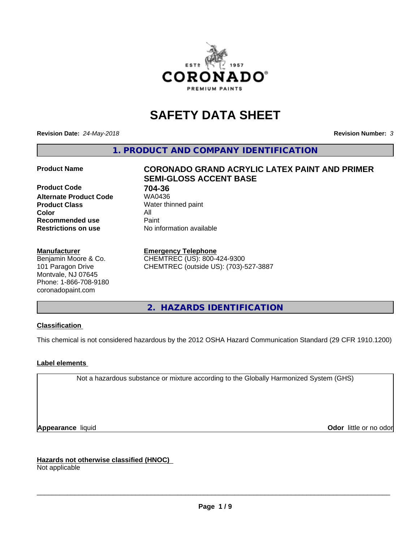

# **SAFETY DATA SHEET**

**Revision Date:** *24-May-2018* **Revision Number:** *3*

**1. PRODUCT AND COMPANY IDENTIFICATION**

**Product Code 61 704-36**<br>**Alternate Product Code 61 704-36 Alternate Product Code Product Class** Water thinned paint<br> **Color** All **Color** All **Recommended use Caint Restrictions on use** No information available

#### **Manufacturer**

Benjamin Moore & Co. 101 Paragon Drive Montvale, NJ 07645 Phone: 1-866-708-9180 coronadopaint.com

## **Product Name CORONADO GRAND ACRYLIC LATEX PAINT AND PRIMER SEMI-GLOSS ACCENT BASE**

#### **Emergency Telephone**

CHEMTREC (US): 800-424-9300 CHEMTREC (outside US): (703)-527-3887

**2. HAZARDS IDENTIFICATION**

#### **Classification**

This chemical is not considered hazardous by the 2012 OSHA Hazard Communication Standard (29 CFR 1910.1200)

#### **Label elements**

Not a hazardous substance or mixture according to the Globally Harmonized System (GHS)

**Appearance** liquid **Contract Contract Contract Contract Contract Contract Contract Contract Contract Contract Contract Contract Contract Contract Contract Contract Contract Contract Contract Contract Contract Contract Con** 

**Hazards not otherwise classified (HNOC)**

Not applicable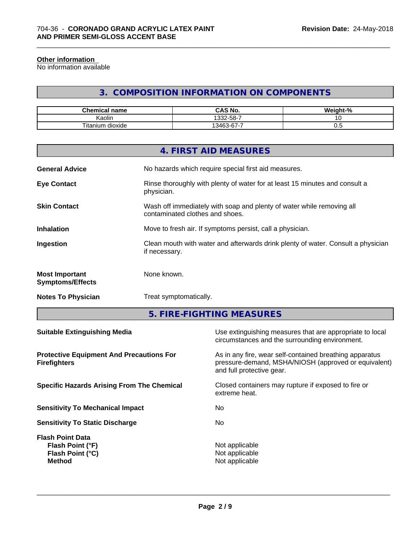#### **Other information**

No information available

## **3. COMPOSITION INFORMATION ON COMPONENTS**

\_\_\_\_\_\_\_\_\_\_\_\_\_\_\_\_\_\_\_\_\_\_\_\_\_\_\_\_\_\_\_\_\_\_\_\_\_\_\_\_\_\_\_\_\_\_\_\_\_\_\_\_\_\_\_\_\_\_\_\_\_\_\_\_\_\_\_\_\_\_\_\_\_\_\_\_\_\_\_\_\_\_\_\_\_\_\_\_\_\_\_\_\_

| Chemical<br>⊟name              | CAS No.<br>r۸                                             | <br>$\sim$<br>ה י |
|--------------------------------|-----------------------------------------------------------|-------------------|
| . .<br>. .<br>Kaolin           | . ა32-58-7                                                |                   |
| Titaniu.<br><br>dioxide<br>um. | $\overline{\phantom{a}}$<br>$\sim$<br>0.100<br>. 34F<br>v | v.J               |

|                                                  | 4. FIRST AID MEASURES                                                                                    |
|--------------------------------------------------|----------------------------------------------------------------------------------------------------------|
| <b>General Advice</b>                            | No hazards which require special first aid measures.                                                     |
| <b>Eye Contact</b>                               | Rinse thoroughly with plenty of water for at least 15 minutes and consult a<br>physician.                |
| <b>Skin Contact</b>                              | Wash off immediately with soap and plenty of water while removing all<br>contaminated clothes and shoes. |
| <b>Inhalation</b>                                | Move to fresh air. If symptoms persist, call a physician.                                                |
| Ingestion                                        | Clean mouth with water and afterwards drink plenty of water. Consult a physician<br>if necessary.        |
| <b>Most Important</b><br><b>Symptoms/Effects</b> | None known.                                                                                              |
| <b>Notes To Physician</b>                        | Treat symptomatically.                                                                                   |
|                                                  |                                                                                                          |

**5. FIRE-FIGHTING MEASURES**

| As in any fire, wear self-contained breathing apparatus<br>pressure-demand, MSHA/NIOSH (approved or equivalent)<br>and full protective gear.<br>Closed containers may rupture if exposed to fire or<br>extreme heat.<br>No.<br>No.<br>Not applicable<br>Flash Point (°F)<br>Not applicable<br>Flash Point (°C)<br>Not applicable<br><b>Method</b> | <b>Suitable Extinguishing Media</b>                                    | Use extinguishing measures that are appropriate to local<br>circumstances and the surrounding environment. |
|---------------------------------------------------------------------------------------------------------------------------------------------------------------------------------------------------------------------------------------------------------------------------------------------------------------------------------------------------|------------------------------------------------------------------------|------------------------------------------------------------------------------------------------------------|
|                                                                                                                                                                                                                                                                                                                                                   | <b>Protective Equipment And Precautions For</b><br><b>Firefighters</b> |                                                                                                            |
|                                                                                                                                                                                                                                                                                                                                                   | <b>Specific Hazards Arising From The Chemical</b>                      |                                                                                                            |
|                                                                                                                                                                                                                                                                                                                                                   | <b>Sensitivity To Mechanical Impact</b>                                |                                                                                                            |
|                                                                                                                                                                                                                                                                                                                                                   | <b>Sensitivity To Static Discharge</b>                                 |                                                                                                            |
|                                                                                                                                                                                                                                                                                                                                                   | <b>Flash Point Data</b>                                                |                                                                                                            |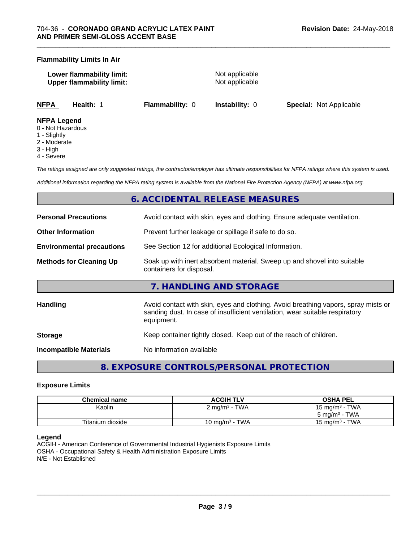#### **Flammability Limits In Air**

| Lower flammability limit:        | Not applicable |
|----------------------------------|----------------|
| <b>Upper flammability limit:</b> | Not applicable |
|                                  |                |

\_\_\_\_\_\_\_\_\_\_\_\_\_\_\_\_\_\_\_\_\_\_\_\_\_\_\_\_\_\_\_\_\_\_\_\_\_\_\_\_\_\_\_\_\_\_\_\_\_\_\_\_\_\_\_\_\_\_\_\_\_\_\_\_\_\_\_\_\_\_\_\_\_\_\_\_\_\_\_\_\_\_\_\_\_\_\_\_\_\_\_\_\_

**NFPA Health:** 1 **Flammability:** 0 **Instability:** 0 **Special:** Not Applicable

#### **NFPA Legend**

- 0 Not Hazardous
- 1 Slightly
- 2 Moderate
- 3 High
- 4 Severe

*The ratings assigned are only suggested ratings, the contractor/employer has ultimate responsibilities for NFPA ratings where this system is used.*

*Additional information regarding the NFPA rating system is available from the National Fire Protection Agency (NFPA) at www.nfpa.org.*

## **6. ACCIDENTAL RELEASE MEASURES**

| <b>Personal Precautions</b>      | Avoid contact with skin, eyes and clothing. Ensure adequate ventilation.                                                                                                         |
|----------------------------------|----------------------------------------------------------------------------------------------------------------------------------------------------------------------------------|
| <b>Other Information</b>         | Prevent further leakage or spillage if safe to do so.                                                                                                                            |
| <b>Environmental precautions</b> | See Section 12 for additional Ecological Information.                                                                                                                            |
| <b>Methods for Cleaning Up</b>   | Soak up with inert absorbent material. Sweep up and shovel into suitable<br>containers for disposal.                                                                             |
|                                  | 7. HANDLING AND STORAGE                                                                                                                                                          |
| <b>Handling</b>                  | Avoid contact with skin, eyes and clothing. Avoid breathing vapors, spray mists or<br>sanding dust. In case of insufficient ventilation, wear suitable respiratory<br>equipment. |
| <b>Storage</b>                   | Keep container tightly closed. Keep out of the reach of children.                                                                                                                |
| <b>Incompatible Materials</b>    | No information available                                                                                                                                                         |

## **8. EXPOSURE CONTROLS/PERSONAL PROTECTION**

#### **Exposure Limits**

| <b>Chemical name</b> | <b>ACGIH TLV</b>         | <b>OSHA PEL</b>                |
|----------------------|--------------------------|--------------------------------|
| Kaolin               | $2 \text{ mg/m}^3$ - TWA | 15 mg/m <sup>3</sup> - TWA     |
|                      |                          | - TWA<br>5 mg/m <sup>3</sup> - |
| Titanium dioxide     | 10 mg/m $3$ - TWA        | - TWA<br>15 mg/m $3$           |

#### **Legend**

ACGIH - American Conference of Governmental Industrial Hygienists Exposure Limits OSHA - Occupational Safety & Health Administration Exposure Limits N/E - Not Established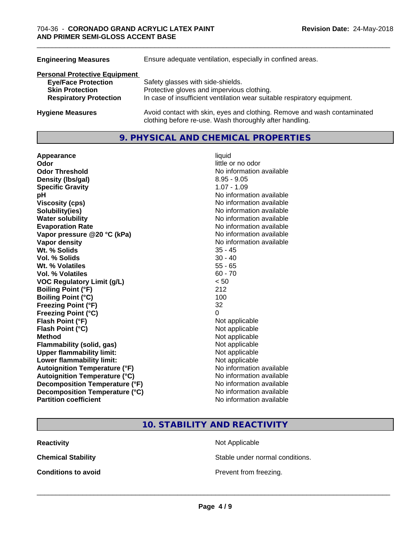| <b>Engineering Measures</b>          | Ensure adequate ventilation, especially in confined areas.                                                                          |  |  |  |
|--------------------------------------|-------------------------------------------------------------------------------------------------------------------------------------|--|--|--|
| <b>Personal Protective Equipment</b> |                                                                                                                                     |  |  |  |
| <b>Eye/Face Protection</b>           | Safety glasses with side-shields.                                                                                                   |  |  |  |
| <b>Skin Protection</b>               | Protective gloves and impervious clothing.                                                                                          |  |  |  |
| <b>Respiratory Protection</b>        | In case of insufficient ventilation wear suitable respiratory equipment.                                                            |  |  |  |
| <b>Hygiene Measures</b>              | Avoid contact with skin, eyes and clothing. Remove and wash contaminated<br>clothing before re-use. Wash thoroughly after handling. |  |  |  |

#### **9. PHYSICAL AND CHEMICAL PROPERTIES**

**Appearance** liquid **Odor** little or no odor **Odor Threshold No information available No information available Density (Ibs/gal)** 8.95 - 9.05 **Specific Gravity** 1.07 - 1.09 **pH** No information available **Viscosity (cps)** No information available **Solubility(ies)** No information available **Water solubility**<br> **Evaporation Rate**<br> **Evaporation Rate**<br> **Evaporation Rate Vapor** pressure @20 °C (kPa) **Vapor density No information available No information available Wt. % Solids** 35 - 45 **Vol. % Solids** 30 - 40 **Wt. % Volatiles** 55 - 65 **Vol. % Volatiles** 60 - 70 **VOC Regulatory Limit (g/L)** < 50 **Boiling Point (°F)** 212 **Boiling Point (°C) Freezing Point (°F)** 32 **Freezing Point (°C)** 0 **Flash Point (°F)** Not applicable **Flash Point (°C)** Not applicable **Method** Not applicable **Flammability (solid, gas)** Not applicable **Upper flammability limit:** Not applicable **Lower flammability limit:** Not applicable **Autoignition Temperature (°F)** No information available **Autoignition Temperature (°C)** No information available **Decomposition Temperature (°F)** No information available **Decomposition Temperature (°C)** No information available **Partition coefficient** No information available

No information available<br>No information available

## **10. STABILITY AND REACTIVITY**

**Reactivity Not Applicable Not Applicable** 

**Chemical Stability Stable under normal conditions.** 

**Conditions to avoid Conditions to avoid Prevent from freezing.**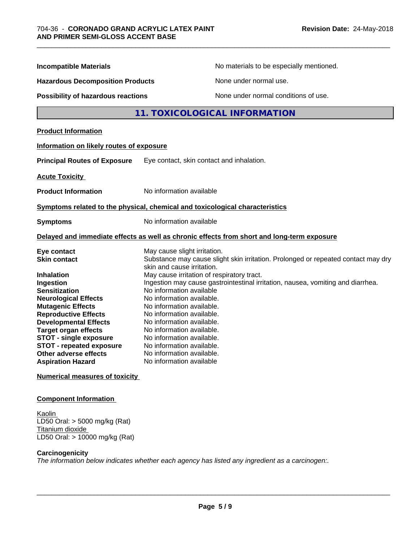| <b>Incompatible Materials</b>                                                                                                                                                                                                                                                                                                            | No materials to be especially mentioned.                                                                                                                                                                                                                                                                                                                                                                                      |
|------------------------------------------------------------------------------------------------------------------------------------------------------------------------------------------------------------------------------------------------------------------------------------------------------------------------------------------|-------------------------------------------------------------------------------------------------------------------------------------------------------------------------------------------------------------------------------------------------------------------------------------------------------------------------------------------------------------------------------------------------------------------------------|
| <b>Hazardous Decomposition Products</b>                                                                                                                                                                                                                                                                                                  | None under normal use.                                                                                                                                                                                                                                                                                                                                                                                                        |
| <b>Possibility of hazardous reactions</b>                                                                                                                                                                                                                                                                                                | None under normal conditions of use.                                                                                                                                                                                                                                                                                                                                                                                          |
|                                                                                                                                                                                                                                                                                                                                          | 11. TOXICOLOGICAL INFORMATION                                                                                                                                                                                                                                                                                                                                                                                                 |
| <b>Product Information</b>                                                                                                                                                                                                                                                                                                               |                                                                                                                                                                                                                                                                                                                                                                                                                               |
| Information on likely routes of exposure                                                                                                                                                                                                                                                                                                 |                                                                                                                                                                                                                                                                                                                                                                                                                               |
| <b>Principal Routes of Exposure</b>                                                                                                                                                                                                                                                                                                      | Eye contact, skin contact and inhalation.                                                                                                                                                                                                                                                                                                                                                                                     |
| <b>Acute Toxicity</b>                                                                                                                                                                                                                                                                                                                    |                                                                                                                                                                                                                                                                                                                                                                                                                               |
| <b>Product Information</b>                                                                                                                                                                                                                                                                                                               | No information available                                                                                                                                                                                                                                                                                                                                                                                                      |
|                                                                                                                                                                                                                                                                                                                                          | Symptoms related to the physical, chemical and toxicological characteristics                                                                                                                                                                                                                                                                                                                                                  |
| <b>Symptoms</b>                                                                                                                                                                                                                                                                                                                          | No information available                                                                                                                                                                                                                                                                                                                                                                                                      |
|                                                                                                                                                                                                                                                                                                                                          | Delayed and immediate effects as well as chronic effects from short and long-term exposure                                                                                                                                                                                                                                                                                                                                    |
| Eye contact<br><b>Skin contact</b>                                                                                                                                                                                                                                                                                                       | May cause slight irritation.<br>Substance may cause slight skin irritation. Prolonged or repeated contact may dry<br>skin and cause irritation.                                                                                                                                                                                                                                                                               |
| <b>Inhalation</b><br>Ingestion<br><b>Sensitization</b><br><b>Neurological Effects</b><br><b>Mutagenic Effects</b><br><b>Reproductive Effects</b><br><b>Developmental Effects</b><br><b>Target organ effects</b><br><b>STOT - single exposure</b><br><b>STOT - repeated exposure</b><br>Other adverse effects<br><b>Aspiration Hazard</b> | May cause irritation of respiratory tract.<br>Ingestion may cause gastrointestinal irritation, nausea, vomiting and diarrhea.<br>No information available<br>No information available.<br>No information available.<br>No information available.<br>No information available.<br>No information available.<br>No information available.<br>No information available.<br>No information available.<br>No information available |
| <b>Numerical measures of toxicity</b>                                                                                                                                                                                                                                                                                                    |                                                                                                                                                                                                                                                                                                                                                                                                                               |

#### **Component Information**

Kaolin LD50 Oral: > 5000 mg/kg (Rat) Titanium dioxide LD50 Oral: > 10000 mg/kg (Rat)

#### **Carcinogenicity**

*The information below indicateswhether each agency has listed any ingredient as a carcinogen:.*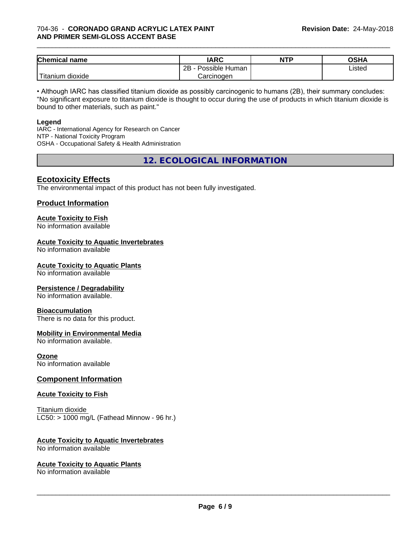#### 704-36 - **CORONADO GRAND ACRYLIC LATEX PAINT AND PRIMER SEMI-GLOSS ACCENT BASE**

| <b>Chemical name</b>           | <b>IARC</b>                      | <b>NTP</b> | ∩ເມ∧<br>∪אח |
|--------------------------------|----------------------------------|------------|-------------|
|                                | . .<br>2B<br>: Human<br>Possible |            | Listed      |
| .<br>dioxide<br><b>itanium</b> | Carcinogen                       |            |             |

\_\_\_\_\_\_\_\_\_\_\_\_\_\_\_\_\_\_\_\_\_\_\_\_\_\_\_\_\_\_\_\_\_\_\_\_\_\_\_\_\_\_\_\_\_\_\_\_\_\_\_\_\_\_\_\_\_\_\_\_\_\_\_\_\_\_\_\_\_\_\_\_\_\_\_\_\_\_\_\_\_\_\_\_\_\_\_\_\_\_\_\_\_

• Although IARC has classified titanium dioxide as possibly carcinogenic to humans (2B), their summary concludes: "No significant exposure to titanium dioxide is thought to occur during the use of products in which titanium dioxide is bound to other materials, such as paint."

#### **Legend**

IARC - International Agency for Research on Cancer NTP - National Toxicity Program OSHA - Occupational Safety & Health Administration

**12. ECOLOGICAL INFORMATION**

#### **Ecotoxicity Effects**

The environmental impact of this product has not been fully investigated.

#### **Product Information**

## **Acute Toxicity to Fish**

No information available

#### **Acute Toxicity to Aquatic Invertebrates**

No information available

#### **Acute Toxicity to Aquatic Plants**

No information available

#### **Persistence / Degradability**

No information available.

#### **Bioaccumulation**

There is no data for this product.

#### **Mobility in Environmental Media**

No information available.

#### **Ozone**

No information available

#### **Component Information**

#### **Acute Toxicity to Fish**

Titanium dioxide  $LC50:$  > 1000 mg/L (Fathead Minnow - 96 hr.)

#### **Acute Toxicity to Aquatic Invertebrates**

No information available

#### **Acute Toxicity to Aquatic Plants**

No information available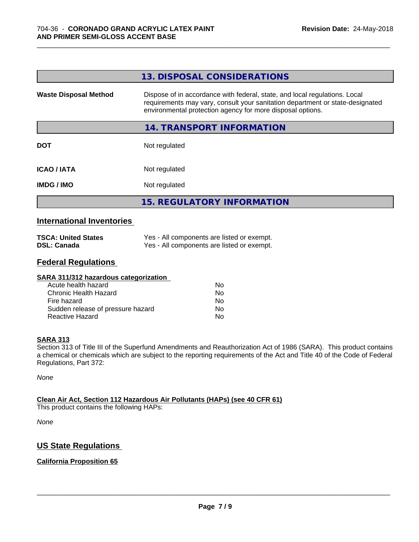|                              | 13. DISPOSAL CONSIDERATIONS                                                                                                                                                                                               |
|------------------------------|---------------------------------------------------------------------------------------------------------------------------------------------------------------------------------------------------------------------------|
| <b>Waste Disposal Method</b> | Dispose of in accordance with federal, state, and local regulations. Local<br>requirements may vary, consult your sanitation department or state-designated<br>environmental protection agency for more disposal options. |
|                              | <b>14. TRANSPORT INFORMATION</b>                                                                                                                                                                                          |
| <b>DOT</b>                   | Not regulated                                                                                                                                                                                                             |
| <b>ICAO/IATA</b>             | Not regulated                                                                                                                                                                                                             |
| <b>IMDG/IMO</b>              | Not regulated                                                                                                                                                                                                             |
|                              | <b>15. REGULATORY INFORMATION</b>                                                                                                                                                                                         |
|                              |                                                                                                                                                                                                                           |

\_\_\_\_\_\_\_\_\_\_\_\_\_\_\_\_\_\_\_\_\_\_\_\_\_\_\_\_\_\_\_\_\_\_\_\_\_\_\_\_\_\_\_\_\_\_\_\_\_\_\_\_\_\_\_\_\_\_\_\_\_\_\_\_\_\_\_\_\_\_\_\_\_\_\_\_\_\_\_\_\_\_\_\_\_\_\_\_\_\_\_\_\_

#### **International Inventories**

| <b>TSCA: United States</b> | Yes - All components are listed or exempt. |
|----------------------------|--------------------------------------------|
| <b>DSL: Canada</b>         | Yes - All components are listed or exempt. |

### **Federal Regulations**

| SARA 311/312 hazardous categorization |    |  |
|---------------------------------------|----|--|
| Acute health hazard                   | Nο |  |
| Chronic Health Hazard                 | No |  |
| Fire hazard                           | No |  |
| Sudden release of pressure hazard     | No |  |
| Reactive Hazard                       | No |  |

#### **SARA 313**

Section 313 of Title III of the Superfund Amendments and Reauthorization Act of 1986 (SARA). This product contains a chemical or chemicals which are subject to the reporting requirements of the Act and Title 40 of the Code of Federal Regulations, Part 372:

*None*

#### **Clean Air Act,Section 112 Hazardous Air Pollutants (HAPs) (see 40 CFR 61)**

This product contains the following HAPs:

*None*

### **US State Regulations**

#### **California Proposition 65**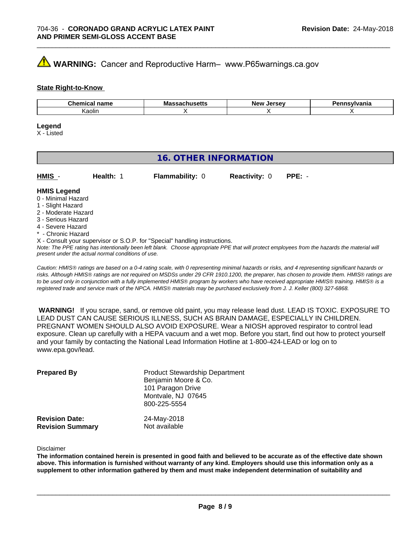## **WARNING:** Cancer and Reproductive Harm– www.P65warnings.ca.gov

#### **State Right-to-Know**

| . .    | Mo     | <i>Larcay</i> | vlvania |
|--------|--------|---------------|---------|
| ∴nor   | IVIa   | <b>Nev</b>    |         |
| name   | nuscus | $-1$          |         |
| Kaolir |        |               |         |

#### **Legend**

X - Listed

## **16. OTHER INFORMATION**

| HMIS | Health: | <b>Flammability: 0</b> | <b>Reactivity: 0 PPE: -</b> |  |
|------|---------|------------------------|-----------------------------|--|
|      |         |                        |                             |  |

#### **HMIS Legend**

- 0 Minimal Hazard
- 1 Slight Hazard
- 2 Moderate Hazard
- 3 Serious Hazard
- 4 Severe Hazard
- \* Chronic Hazard
- X Consult your supervisor or S.O.P. for "Special" handling instructions.

*Note: The PPE rating has intentionally been left blank. Choose appropriate PPE that will protect employees from the hazards the material will present under the actual normal conditions of use.*

*Caution: HMISÒ ratings are based on a 0-4 rating scale, with 0 representing minimal hazards or risks, and 4 representing significant hazards or risks. Although HMISÒ ratings are not required on MSDSs under 29 CFR 1910.1200, the preparer, has chosen to provide them. HMISÒ ratings are to be used only in conjunction with a fully implemented HMISÒ program by workers who have received appropriate HMISÒ training. HMISÒ is a registered trade and service mark of the NPCA. HMISÒ materials may be purchased exclusively from J. J. Keller (800) 327-6868.*

 **WARNING!** If you scrape, sand, or remove old paint, you may release lead dust. LEAD IS TOXIC. EXPOSURE TO LEAD DUST CAN CAUSE SERIOUS ILLNESS, SUCH AS BRAIN DAMAGE, ESPECIALLY IN CHILDREN. PREGNANT WOMEN SHOULD ALSO AVOID EXPOSURE.Wear a NIOSH approved respirator to control lead exposure. Clean up carefully with a HEPA vacuum and a wet mop. Before you start, find out how to protect yourself and your family by contacting the National Lead Information Hotline at 1-800-424-LEAD or log on to www.epa.gov/lead.

| <b>Prepared By</b>                               | <b>Product Stewardship Department</b><br>Benjamin Moore & Co.<br>101 Paragon Drive<br>Montvale, NJ 07645<br>800-225-5554 |  |
|--------------------------------------------------|--------------------------------------------------------------------------------------------------------------------------|--|
| <b>Revision Date:</b><br><b>Revision Summary</b> | 24-May-2018<br>Not available                                                                                             |  |

Disclaimer

The information contained herein is presented in good faith and believed to be accurate as of the effective date shown above. This information is furnished without warranty of any kind. Employers should use this information only as a **supplement to other information gathered by them and must make independent determination of suitability and**